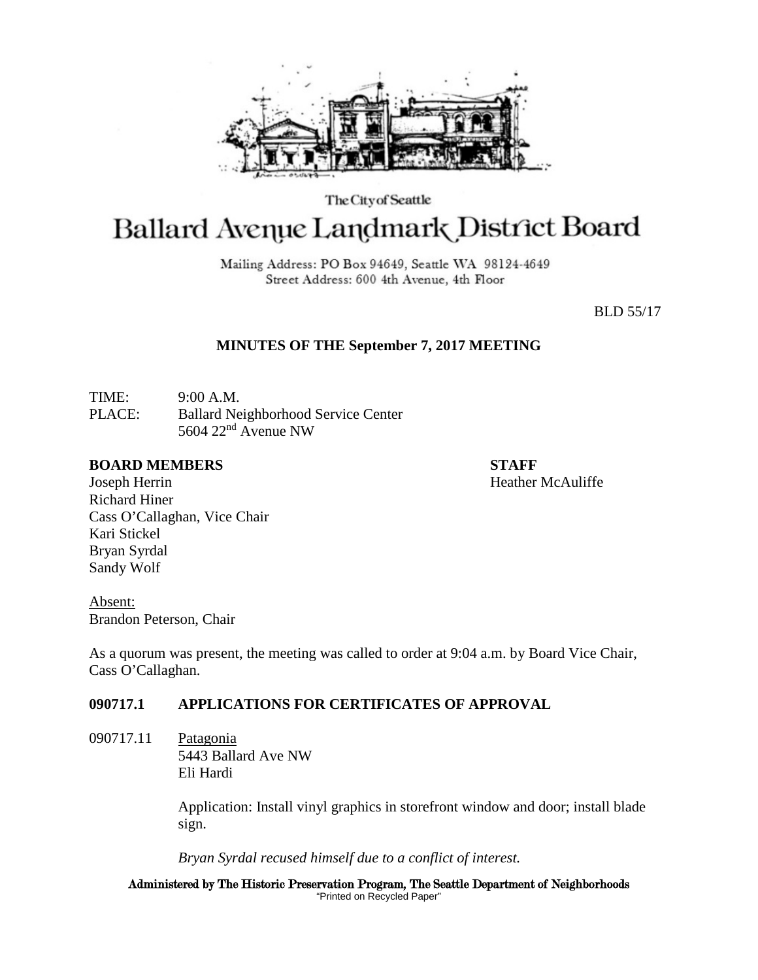

The City of Seattle

# Ballard Avenue Landmark District Board

Mailing Address: PO Box 94649, Seattle WA 98124-4649 Street Address: 600 4th Avenue, 4th Floor

BLD 55/17

### **MINUTES OF THE September 7, 2017 MEETING**

TIME: 9:00 A.M. PLACE: Ballard Neighborhood Service Center 5604 22nd Avenue NW

#### **BOARD MEMBERS STAFF**

Joseph Herrin **Heather McAuliffe Heather McAuliffe** Richard Hiner Cass O'Callaghan, Vice Chair Kari Stickel Bryan Syrdal Sandy Wolf

Absent: Brandon Peterson, Chair

As a quorum was present, the meeting was called to order at 9:04 a.m. by Board Vice Chair, Cass O'Callaghan.

# **090717.1 APPLICATIONS FOR CERTIFICATES OF APPROVAL**

090717.11 Patagonia 5443 Ballard Ave NW Eli Hardi

> Application: Install vinyl graphics in storefront window and door; install blade sign.

*Bryan Syrdal recused himself due to a conflict of interest.*

Administered by The Historic Preservation Program, The Seattle Department of Neighborhoods "Printed on Recycled Paper"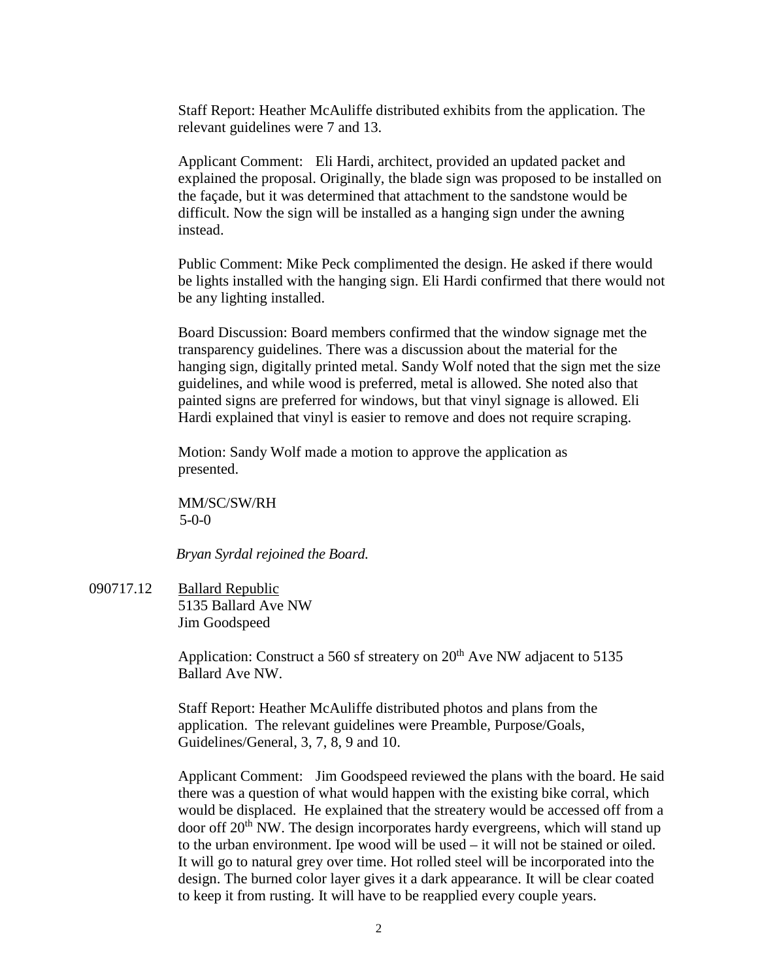Staff Report: Heather McAuliffe distributed exhibits from the application. The relevant guidelines were 7 and 13.

Applicant Comment: Eli Hardi, architect, provided an updated packet and explained the proposal. Originally, the blade sign was proposed to be installed on the façade, but it was determined that attachment to the sandstone would be difficult. Now the sign will be installed as a hanging sign under the awning instead.

Public Comment: Mike Peck complimented the design. He asked if there would be lights installed with the hanging sign. Eli Hardi confirmed that there would not be any lighting installed.

Board Discussion: Board members confirmed that the window signage met the transparency guidelines. There was a discussion about the material for the hanging sign, digitally printed metal. Sandy Wolf noted that the sign met the size guidelines, and while wood is preferred, metal is allowed. She noted also that painted signs are preferred for windows, but that vinyl signage is allowed. Eli Hardi explained that vinyl is easier to remove and does not require scraping.

Motion: Sandy Wolf made a motion to approve the application as presented.

MM/SC/SW/RH 5-0-0

*Bryan Syrdal rejoined the Board.*

090717.12 Ballard Republic 5135 Ballard Ave NW Jim Goodspeed

> Application: Construct a 560 sf streatery on  $20<sup>th</sup>$  Ave NW adjacent to 5135 Ballard Ave NW.

Staff Report: Heather McAuliffe distributed photos and plans from the application. The relevant guidelines were Preamble, Purpose/Goals, Guidelines/General, 3, 7, 8, 9 and 10.

Applicant Comment: Jim Goodspeed reviewed the plans with the board. He said there was a question of what would happen with the existing bike corral, which would be displaced. He explained that the streatery would be accessed off from a door off  $20<sup>th</sup>$  NW. The design incorporates hardy evergreens, which will stand up to the urban environment. Ipe wood will be used – it will not be stained or oiled. It will go to natural grey over time. Hot rolled steel will be incorporated into the design. The burned color layer gives it a dark appearance. It will be clear coated to keep it from rusting. It will have to be reapplied every couple years.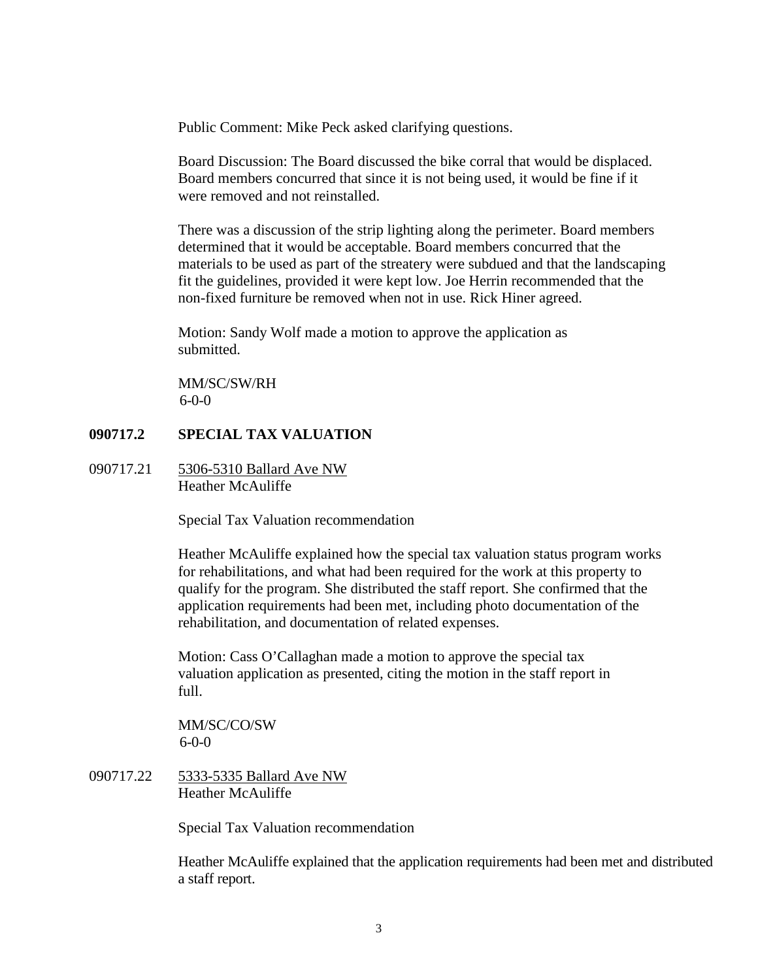Public Comment: Mike Peck asked clarifying questions.

Board Discussion: The Board discussed the bike corral that would be displaced. Board members concurred that since it is not being used, it would be fine if it were removed and not reinstalled.

There was a discussion of the strip lighting along the perimeter. Board members determined that it would be acceptable. Board members concurred that the materials to be used as part of the streatery were subdued and that the landscaping fit the guidelines, provided it were kept low. Joe Herrin recommended that the non-fixed furniture be removed when not in use. Rick Hiner agreed.

Motion: Sandy Wolf made a motion to approve the application as submitted.

MM/SC/SW/RH 6-0-0

### **090717.2 SPECIAL TAX VALUATION**

090717.21 5306-5310 Ballard Ave NW Heather McAuliffe

Special Tax Valuation recommendation

Heather McAuliffe explained how the special tax valuation status program works for rehabilitations, and what had been required for the work at this property to qualify for the program. She distributed the staff report. She confirmed that the application requirements had been met, including photo documentation of the rehabilitation, and documentation of related expenses.

Motion: Cass O'Callaghan made a motion to approve the special tax valuation application as presented, citing the motion in the staff report in full.

MM/SC/CO/SW  $6-0-0$ 

090717.22 5333-5335 Ballard Ave NW Heather McAuliffe

Special Tax Valuation recommendation

Heather McAuliffe explained that the application requirements had been met and distributed a staff report.